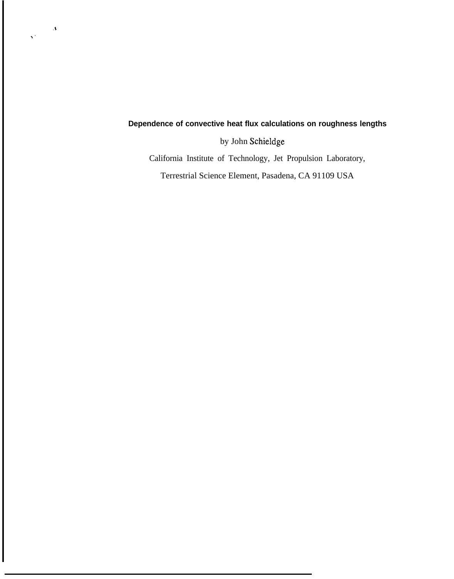## **Dependence of convective heat flux calculations on roughness lengths**

by John Schieldge

**%'**

 $\sim$   $\Lambda$ 

California Institute of Technology, Jet Propulsion Laboratory,

Terrestrial Science Element, Pasadena, CA 91109 USA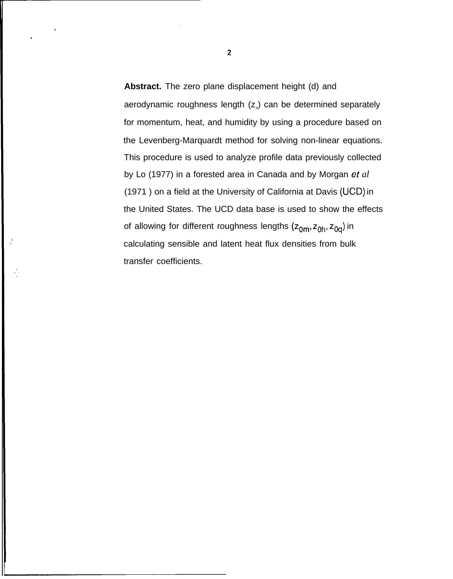**Abstract.** The zero plane displacement height (d) and aerodynamic roughness length (z<sub>o</sub>) can be determined separately for momentum, heat, and humidity by using a procedure based on the Levenberg-Marquardt method for solving non-linear equations. This procedure is used to analyze profile data previously collected by Lo (1977) in a forested area in Canada and by Morgan et *al* (1971 ) on a field at the University of California at Davis (UCD) in the United States. The UCD data base is used to show the effects of allowing for different roughness lengths  $(z_{0m}, z_{0h}, z_{0q})$  in calculating sensible and latent heat flux densities from bulk transfer coefficients.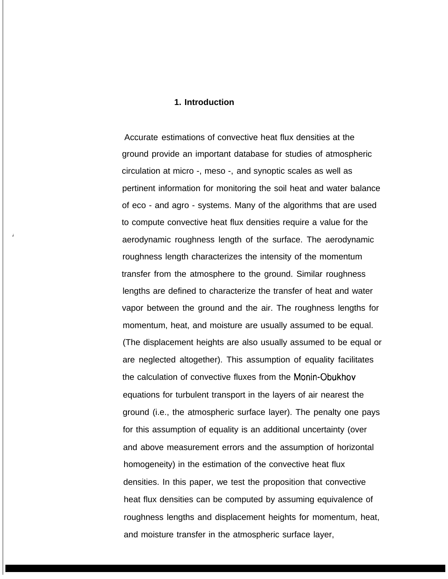## **1. Introduction**

Accurate estimations of convective heat flux densities at the ground provide an important database for studies of atmospheric circulation at micro -, meso -, and synoptic scales as well as pertinent information for monitoring the soil heat and water balance of eco - and agro - systems. Many of the algorithms that are used to compute convective heat flux densities require a value for the ) aerodynamic roughness length of the surface. The aerodynamic roughness length characterizes the intensity of the momentum transfer from the atmosphere to the ground. Similar roughness lengths are defined to characterize the transfer of heat and water vapor between the ground and the air. The roughness lengths for momentum, heat, and moisture are usually assumed to be equal. (The displacement heights are also usually assumed to be equal or are neglected altogether). This assumption of equality facilitates the calculation of convective fluxes from the Monin-Obukhov equations for turbulent transport in the layers of air nearest the ground (i.e., the atmospheric surface layer). The penalty one pays for this assumption of equality is an additional uncertainty (over and above measurement errors and the assumption of horizontal homogeneity) in the estimation of the convective heat flux densities. In this paper, we test the proposition that convective heat flux densities can be computed by assuming equivalence of roughness lengths and displacement heights for momentum, heat, and moisture transfer in the atmospheric surface layer,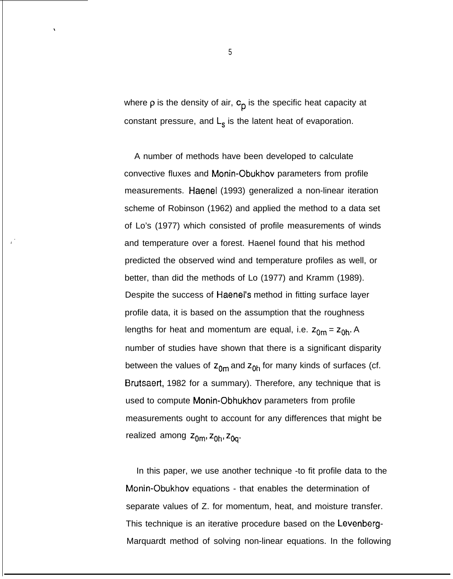where  $\rho$  is the density of air,  $c_p$  is the specific heat capacity at constant pressure, and  $L_s$  is the latent heat of evaporation.

A number of methods have been developed to calculate convective fluxes and Monin-Obukhov parameters from profile measurements. Haenel (1993) generalized a non-linear iteration scheme of Robinson (1962) and applied the method to a data set of Lo's (1977) which consisted of profile measurements of winds and temperature over a forest. Haenel found that his method predicted the observed wind and temperature profiles as well, or better, than did the methods of Lo (1977) and Kramm (1989). Despite the success of Haenel's method in fitting surface layer profile data, it is based on the assumption that the roughness lengths for heat and momentum are equal, i.e.  $z_{0m} = z_{0h}$ . A number of studies have shown that there is a significant disparity between the values of  $z_{0m}$  and  $z_{0h}$  for many kinds of surfaces (cf. Brutsaert, 1982 for a summary). Therefore, any technique that is used to compute Monin-Obhukhov parameters from profile measurements ought to account for any differences that might be realized among  $z_{0m}$ ,  $z_{0h}$ ,  $z_{0q}$ .

In this paper, we use another technique -to fit profile data to the Monin-Obukhov equations - that enables the determination of separate values of Z. for momentum, heat, and moisture transfer. This technique is an iterative procedure based on the Levenberg-Marquardt method of solving non-linear equations. In the following

5

 $\cdot$ 

**,'**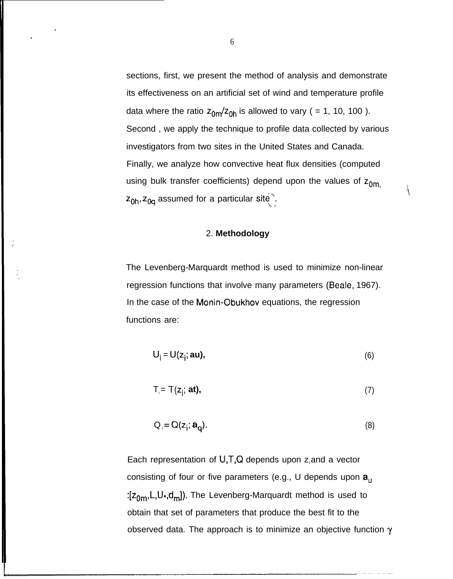sections, first, we present the method of analysis and demonstrate its effectiveness on an artificial set of wind and temperature profile data where the ratio  $z_{0m}/z_{0h}$  is allowed to vary ( = 1, 10, 100 ). Second , we apply the technique to profile data collected by various investigators from two sites in the United States and Canada. Finally, we analyze how convective heat flux densities (computed using bulk transfer coefficients) depend upon the values of  $z_{0m}$  $z_{0h}$ ,  $z_{0q}$  assumed for a particular site.

 $\cdot \setminus$ 

## 2. **Methodology**

The Levenberg-Marquardt method is used to minimize non-linear regression functions that involve many parameters (Beale, 1967). In the case of the Monin-Obukhov equations, the regression functions are:

$$
U_i = U(z_i; \text{au}), \tag{6}
$$

$$
T_i = T(z_i; \text{ at}), \qquad (7)
$$

$$
Q_i = Q(z_i; \mathbf{a}_0). \tag{8}
$$

Each representation of  $U,T,Q$  depends upon  $z_i$  and a vector consisting of four or five parameters (e.g., U depends upon  $a<sub>u</sub>$ :[z<sub>0m</sub>,L,U<sub>\*</sub>,d<sub>m</sub>]). The Levenberg-Marquardt method is used to obtain that set of parameters that produce the best fit to the observed data. The approach is to minimize an objective function  $\gamma$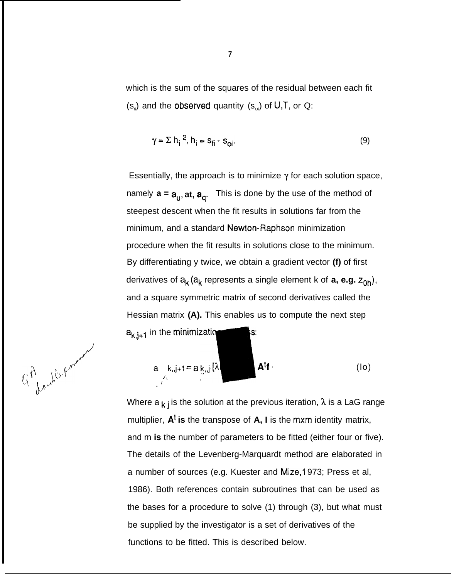which is the sum of the squares of the residual between each fit  $(s_n)$  and the observed quantity  $(s_{\text{o}})$  of U,T, or Q:

$$
\gamma = \sum h_i^2, h_i = s_{fi} \cdot s_{oi}.
$$
 (9)

Essentially, the approach is to minimize  $\gamma$  for each solution space, namely  $a = a_{\mu}$ , at,  $a_{\alpha}$ . This is done by the use of the method of steepest descent when the fit results in solutions far from the minimum, and a standard Newlon-Raphson minimization procedure when the fit results in solutions close to the minimum. By differentiating y twice, we obtain a gradient vector **(f)** of first derivatives of  $a_k (a_k)$  represents a single element k of **a, e.g.**  $z_{0h}$ ), and a square symmetric matrix of second derivatives called the Hessian matrix **(A).** This enables us to compute the next step  $a_{k,j+1}$  in the minimization It matrix (A). This enables<br>
the minimization<br>  $\mathbf{k}$ ,  $\mathbf{k}$ ,  $\mathbf{j}$  +1 = a,  $\mathbf{k}$ ,  $\mathbf{j}$  { $\lambda$ s:

$$
\mathbb{Q}^{\hat{H}}_{\text{t,av}}\mathbf{R}^{\text{t}}\mathbf{A}^{\text{t}}\mathbf{A}^{\text{t}}\mathbf{A}^{\text{t}}\mathbf{A}^{\text{t}}\mathbf{A}^{\text{t}}\mathbf{A}^{\text{t}}\mathbf{A}^{\text{t}}\mathbf{A}^{\text{t}}\mathbf{A}^{\text{t}}\mathbf{A}^{\text{t}}\mathbf{A}^{\text{t}}\mathbf{A}^{\text{t}}\mathbf{A}^{\text{t}}\mathbf{A}^{\text{t}}\mathbf{A}^{\text{t}}\mathbf{A}^{\text{t}}\mathbf{A}^{\text{t}}\mathbf{A}^{\text{t}}\mathbf{A}^{\text{t}}\mathbf{A}^{\text{t}}\mathbf{A}^{\text{t}}\mathbf{A}^{\text{t}}\mathbf{A}^{\text{t}}\mathbf{A}^{\text{t}}\mathbf{A}^{\text{t}}\mathbf{A}^{\text{t}}\mathbf{A}^{\text{t}}\mathbf{A}^{\text{t}}\mathbf{A}^{\text{t}}\mathbf{A}^{\text{t}}\mathbf{A}^{\text{t}}\mathbf{A}^{\text{t}}\mathbf{A}^{\text{t}}\mathbf{A}^{\text{t}}\mathbf{A}^{\text{t}}\mathbf{A}^{\text{t}}\mathbf{A}^{\text{t}}\mathbf{A}^{\text{t}}\mathbf{A}^{\text{t}}\mathbf{A}^{\text{t}}\mathbf{A}^{\text{t}}\mathbf{A}^{\text{t}}\mathbf{A}^{\text{t}}\mathbf{A}^{\text{t}}\mathbf{A}^{\text{t}}\mathbf{A}^{\text{t}}\mathbf{A}^{\text{t}}\mathbf{A}^{\text{t}}\mathbf{A}^{\text{t}}\mathbf{A}^{\text{t}}\mathbf{A}^{\text{t}}\mathbf{A}^{\text{t}}\mathbf{A}^{\text{t}}\mathbf{A}^{\text{t}}\mathbf{A}^{\text{t}}\mathbf{A}^{\text{t}}\mathbf{A}^{\text{t}}\mathbf{A}^{\text{t}}\mathbf{A}^{\text{t}}\mathbf{A}^{\text{t}}\mathbf{A}^{\
$$

|<br>|}

&

Where a  $k_i$  is the solution at the previous iteration,  $\lambda$  is a LaG range multiplier, **At is** the transpose of **A, I** is the mxm identity matrix, and m **is** the number of parameters to be fitted (either four or five). The details of the Levenberg-Marquardt method are elaborated in a number of sources (e.g. Kuester and Mize, 1973; Press et al, 1986). Both references contain subroutines that can be used as the bases for a procedure to solve (1) through (3), but what must be supplied by the investigator is a set of derivatives of the functions to be fitted. This is described below.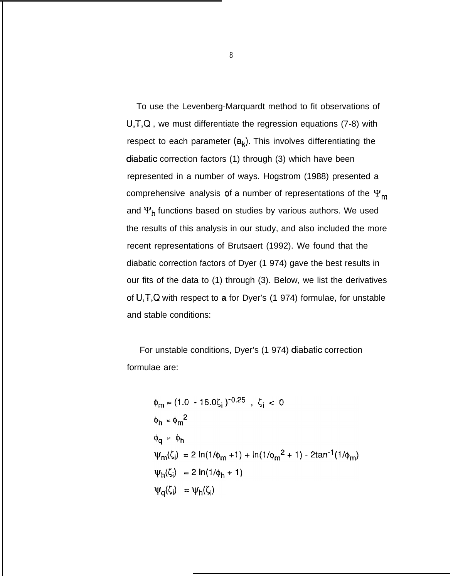To use the Levenberg-Marquardt method to fit observations of U,T,Q , we must differentiate the regression equations (7-8) with respect to each parameter  $(a_k)$ . This involves differentiating the diabatic correction factors (1) through (3) which have been represented in a number of ways. Hogstrom (1988) presented a comprehensive analysis of a number of representations of the  $\Psi_m$ and  $\Psi_h$  functions based on studies by various authors. We used the results of this analysis in our study, and also included the more recent representations of Brutsaert (1992). We found that the diabatic correction factors of Dyer (1 974) gave the best results in our fits of the data to (1) through (3). Below, we list the derivatives of U,T,Q with respect to **a** for Dyer's (1 974) formulae, for unstable and stable conditions:

For unstable conditions, Dyer's (1 974) diabatic correction formulae are:

$$
\phi_{m} = (1.0 - 16.0\zeta_{i})^{-0.25} , \zeta_{i} < 0
$$
\n
$$
\phi_{h} = \phi_{m}^{2}
$$
\n
$$
\phi_{q} = \phi_{h}
$$
\n
$$
\psi_{m}(\zeta_{i}) = 2 \ln(1/\phi_{m} + 1) + \ln(1/\phi_{m}^{2} + 1) - 2 \tan^{-1}(1/\phi_{m})
$$
\n
$$
\psi_{h}(\zeta_{i}) = 2 \ln(1/\phi_{h} + 1)
$$
\n
$$
\psi_{q}(\zeta_{i}) = \psi_{h}(\zeta_{i})
$$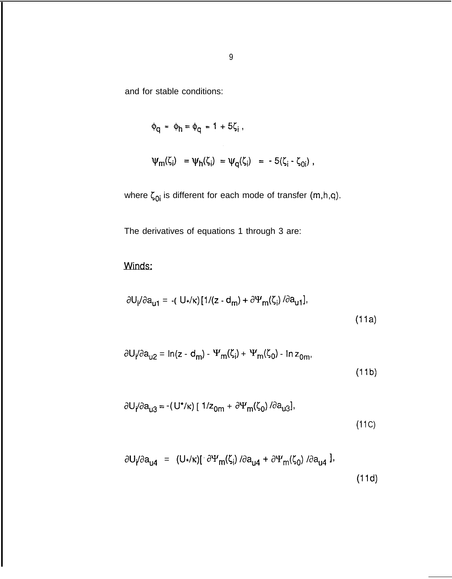and for stable conditions:

$$
\phi_{q} = \phi_{h} = \phi_{q} = 1 + 5\zeta_{i},
$$

$$
\psi_m(\zeta_i) = \psi_h(\zeta_i) = \psi_q(\zeta_i) = -5(\zeta_i - \zeta_{0i}),
$$

where  $\zeta_{0i}$  is different for each mode of transfer (m,h,q).

The derivatives of equations 1 through 3 are:

Winds:

$$
\partial U_{i}/\partial a_{u1} = -(U_{\star}/\kappa)[1/(z - d_{m}) + \partial \Psi_{m}(\zeta_{i}) / \partial a_{u1}],
$$
\n(11a)

$$
\partial U_{i}/\partial a_{u2} = \ln(z - d_{m}) - \Psi_{m}(\zeta_{i}) + \Psi_{m}(\zeta_{0}) - \ln z_{0m},
$$
\n(11b)

$$
\partial U_{i}/\partial a_{u3} = -(U^{\ast}/\kappa) [1/z_{0m} + \partial \Psi_{m}(\zeta_{0})/\partial a_{u3}],
$$
\n(11C)

$$
\partial U_{i}/\partial a_{u4} = (U_{*}/\kappa)[\partial \Psi_{m}(\zeta_{i}) / \partial a_{u4} + \partial \Psi_{m}(\zeta_{0}) / \partial a_{u4}].
$$
\n(11d)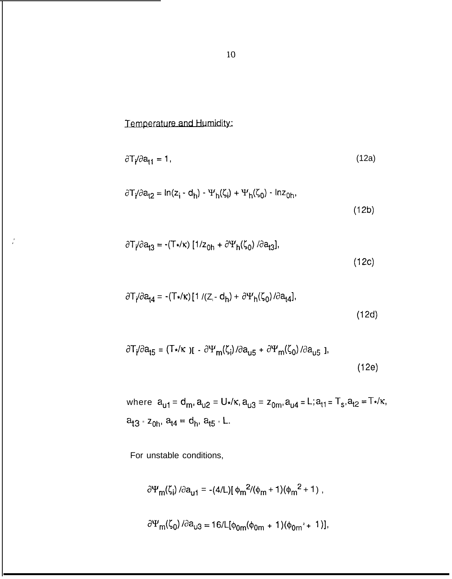Temperature and Humidity:

$$
\frac{\partial \mathsf{T}}{\partial \mathsf{a}_{11}} = 1, \tag{12a}
$$

$$
\partial T_f / \partial a_{t2} = \ln(z_i - d_h) - \Psi_h(\zeta_i) + \Psi_h(\zeta_0) - \ln z_{0h},\tag{12b}
$$

$$
\partial T_f / \partial a_{13} = -(T_*/\kappa) \left[ 1/z_{0h} + \partial \Psi_h(\zeta_0) / \partial a_{13} \right],
$$
\n(12c)

$$
\partial T_i / \partial a_{14} = -(T \star / \kappa) [1 / (Z_i - d_h) + \partial \Psi_h(\zeta_0) / \partial a_{14}],
$$
\n(12d)

$$
\partial T_{i}/\partial a_{i5} = (T_{\star}/\kappa) \mathbf{I} - \partial \Psi_{m}(\zeta_{i}) / \partial a_{i5} + \partial \Psi_{m}(\zeta_{0}) / \partial a_{i5} \mathbf{I},
$$
\n(12e)

 $w$  here  $a_{u1} = d_m$ ,  $a_{u2} = U_*/\kappa$ ,  $a_{u3} = z_{0m}$ ,  $a_{u4} = L$ ;  $a_{t1} = T_s$ ,  $a_{t2} = T_*/\kappa$ ,  $a_{13}$  =  $z_{0h}$ ,  $a_{14} = d_h$ ,  $a_{15}$  = **L**.

For unstable conditions,

$$
\frac{\partial \Psi_{m}(\zeta_{i})}{\partial a_{u1}} = -(4/L)[\phi_{m}^{2}/(\phi_{m}+1)(\phi_{m}^{2}+1),
$$

$$
\frac{\partial \Psi_{\mathsf{m}}(\zeta_0)}{\partial a_{\mathsf{u}3}} = 16/\mathsf{L}[\phi_{0\mathsf{m}}(\phi_{0\mathsf{m}} + 1)(\phi_{0\mathsf{m}}^2 + 1)],
$$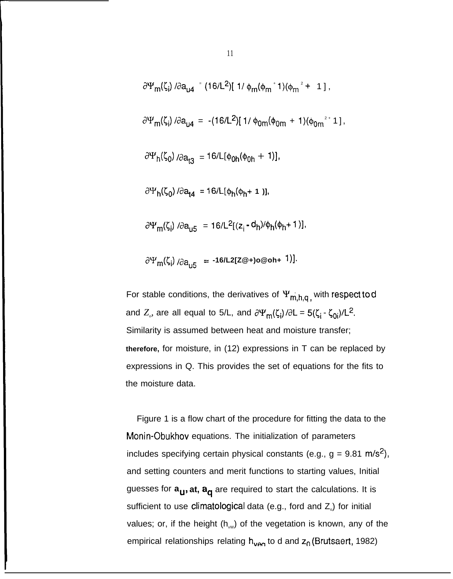$$
\partial \Psi_{m}(\zeta_{i}) / \partial a_{ud} = (16/L^{2}) [1/\phi_{m}(\phi_{m}^{+}1)(\phi_{m}^{2} + 1],
$$
  
\n
$$
\partial \Psi_{m}(\zeta_{i}) / \partial a_{ud} = -(16/L^{2}) [1/\phi_{0m}(\phi_{0m} + 1)(\phi_{0m}^{2} + 1],
$$
  
\n
$$
\partial \Psi_{h}(\zeta_{0}) / \partial a_{td} = 16/L[\phi_{0h}(\phi_{0h} + 1)],
$$
  
\n
$$
\partial \Psi_{h}(\zeta_{0}) / \partial a_{td} = 16/L[\phi_{h}(\phi_{h} + 1)],
$$
  
\n
$$
\partial \Psi_{m}(\zeta_{i}) / \partial a_{ud} = 16/L^{2} [(z_{i} - d_{h}) / \phi_{h}(\phi_{h} + 1)],
$$

 $\partial\Psi_{\text{m}}(\zeta_i)$  / $\partial a_{i15}$  = -16/L2[Z@+)o@oh+ 1)].

For stable conditions, the derivatives of  $\Psi_{m,h,q}$ , with respect to d and  $Z_{\scriptscriptstyle \partial}$  are all equal to 5/L, and  $\partial \Psi_{\sf m}(\zeta_{\sf i})$  / $\partial {\sf L}$  = 5( $\zeta_{\sf i}$  -  $\zeta_{\sf 0 {\sf i}}$ )/ ${\sf L}^2$ . Similarity is assumed between heat and moisture transfer; **therefore,** for moisture, in (12) expressions in T can be replaced by expressions in Q. This provides the set of equations for the fits to the moisture data.

Figure 1 is a flow chart of the procedure for fitting the data to the Monin-Obukhov equations. The initialization of parameters includes specifying certain physical constants (e.g.,  $g = 9.81 \text{ m/s}^2$ ), and setting counters and merit functions to starting values, Initial guesses for  $a_{u}$ , at,  $a_{q}$  are required to start the calculations. It is sufficient to use climatological data (e.g., ford and  $Z_{\circ}$ ) for initial values; or, if the height  $(h_{vw})$  of the vegetation is known, any of the empirical relationships relating  $h_{\text{var}}$  to d and  $z_0$  (Brutsaert, 1982)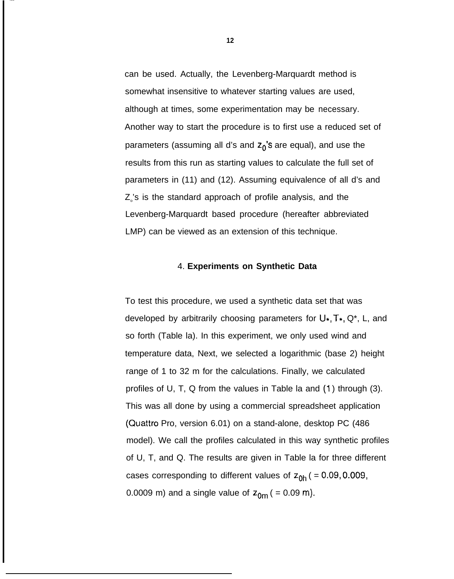can be used. Actually, the Levenberg-Marquardt method is somewhat insensitive to whatever starting values are used, although at times, some experimentation may be necessary. Another way to start the procedure is to first use a reduced set of parameters (assuming all d's and  $z_0$ 's are equal), and use the results from this run as starting values to calculate the full set of parameters in (11) and (12). Assuming equivalence of all d's and  $Z_{\circ}$ 's is the standard approach of profile analysis, and the Levenberg-Marquardt based procedure (hereafter abbreviated LMP) can be viewed as an extension of this technique.

## 4. **Experiments on Synthetic Data**

To test this procedure, we used a synthetic data set that was developed by arbitrarily choosing parameters for  $U^*, T^*, Q^*, L$ , and so forth (Table la). In this experiment, we only used wind and temperature data, Next, we selected a logarithmic (base 2) height range of 1 to 32 m for the calculations. Finally, we calculated profiles of U, T, Q from the values in Table la and (1 ) through (3). This was all done by using a commercial spreadsheet application (Quattro Pro, version 6.01) on a stand-alone, desktop PC (486 model). We call the profiles calculated in this way synthetic profiles of U, T, and Q. The results are given in Table la for three different cases corresponding to different values of  $z_{0h}$  ( = 0.09, 0.009, 0.0009 m) and a single value of  $z_{0m}$  ( = 0.09 m).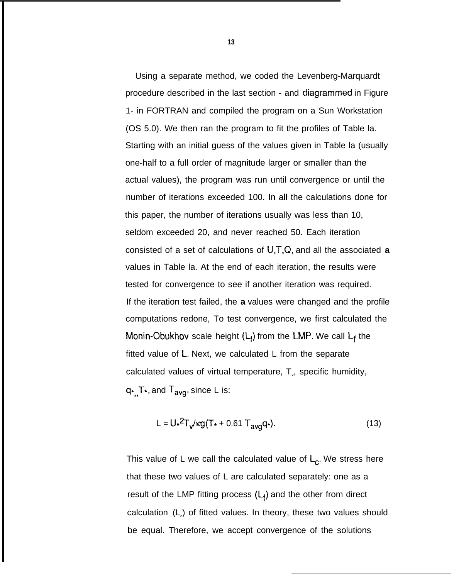Using a separate method, we coded the Levenberg-Marquardt procedure described in the last section - and cjiagrammed in Figure 1- in FORTRAN and compiled the program on a Sun Workstation (OS 5.0). We then ran the program to fit the profiles of Table la. Starting with an initial guess of the values given in Table la (usually one-half to a full order of magnitude larger or smaller than the actual values), the program was run until convergence or until the number of iterations exceeded 100. In all the calculations done for this paper, the number of iterations usually was less than 10, seldom exceeded 20, and never reached 50. Each iteration consisted of a set of calculations of U,T,Q, and all the associated **a** values in Table la. At the end of each iteration, the results were tested for convergence to see if another iteration was required. If the iteration test failed, the **a** values were changed and the profile computations redone, To test convergence, we first calculated the Monin-Obukhov scale height  $(L_i)$  from the LMP. We call  $L_f$  the fitted value of L, Next, we calculated L from the separate calculated values of virtual temperature,  $T_{v}$ , specific humidity,  $q_{\star}$ , T $_{\star}$ , and  $T_{avg}$ , since L is:

$$
L = U \cdot \frac{2}{\sqrt{\kappa g (T + 0.61 \, T_{\text{avg}} q)}}. \tag{13}
$$

This value of L we call the calculated value of  $L_c$ . We stress here that these two values of L are calculated separately: one as a result of the LMP fitting process  $(L_i)$  and the other from direct calculation  $(L_{\circ})$  of fitted values. In theory, these two values should be equal. Therefore, we accept convergence of the solutions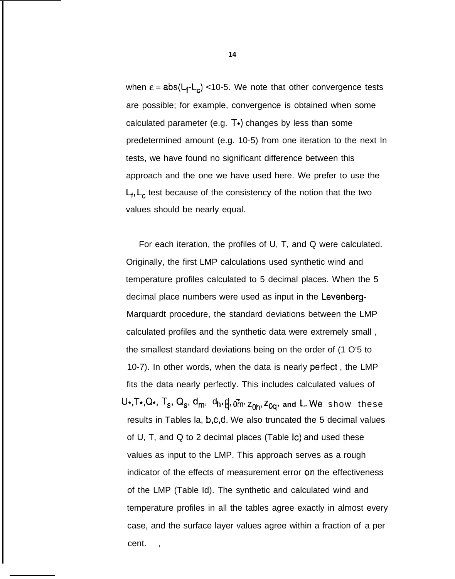when  $\epsilon = abs(L_f-L_c)$  <10-5. We note that other convergence tests are possible; for example, convergence is obtained when some calculated parameter (e.g.  $T<sub>*</sub>$ ) changes by less than some predetermined amount (e.g. 10-5) from one iteration to the next In tests, we have found no significant difference between this approach and the one we have used here. We prefer to use the  $L_f$ ,  $L_c$  test because of the consistency of the notion that the two values should be nearly equal.

For each iteration, the profiles of U, T, and Q were calculated. Originally, the first LMP calculations used synthetic wind and temperature profiles calculated to 5 decimal places. When the 5 decimal place numbers were used as input in the Levenberg-Marquardt procedure, the standard deviations between the LMP calculated profiles and the synthetic data were extremely small , the smallest standard deviations being on the order of (1 O'5 to 10-7). In other words, when the data is nearly perfect, the LMP fits the data nearly perfectly. This includes calculated values of  $U_{\star}, T_{\star}, Q_{\star}, T_{s}, Q_{s}, d_{m}, d_{h}, d, \vec{q}, \vec{q}_{h}, z_{0h}, z_{0q}$ , and L. We show these results in Tables la, b,c,d. We also truncated the 5 decimal values of U, T, and Q to 2 decimal places (Table Ic) and used these values as input to the LMP. This approach serves as a rough indicator of the effects of measurement error cm the effectiveness of the LMP (Table Id). The synthetic and calculated wind and temperature profiles in all the tables agree exactly in almost every case, and the surface layer values agree within a fraction of a per cent.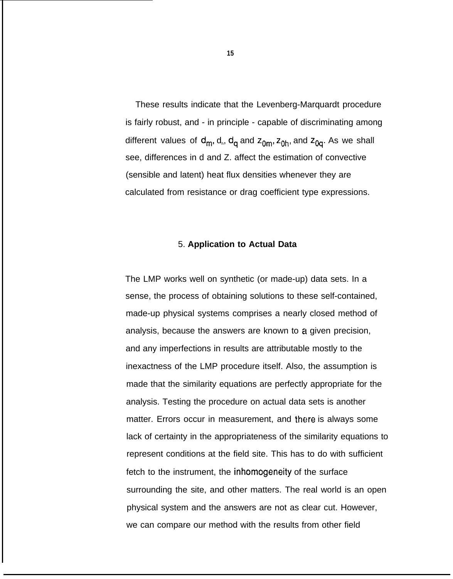These results indicate that the Levenberg-Marquardt procedure is fairly robust, and - in principle - capable of discriminating among different values of d<sub>m</sub>, d<sub>n</sub>, d<sub>a</sub> and z<sub>0m</sub>, z<sub>0h</sub>, and z<sub>0a</sub>. As we shall see, differences in d and Z. affect the estimation of convective (sensible and latent) heat flux densities whenever they are calculated from resistance or drag coefficient type expressions.

## 5. **Application to Actual Data**

The LMP works well on synthetic (or made-up) data sets. In a sense, the process of obtaining solutions to these self-contained, made-up physical systems comprises a nearly closed method of analysis, because the answers are known to a given precision, and any imperfections in results are attributable mostly to the inexactness of the LMP procedure itself. Also, the assumption is made that the similarity equations are perfectly appropriate for the analysis. Testing the procedure on actual data sets is another matter. Errors occur in measurement, and there is always some lack of certainty in the appropriateness of the similarity equations to represent conditions at the field site. This has to do with sufficient fetch to the instrument, the inhomogeneity of the surface surrounding the site, and other matters. The real world is an open physical system and the answers are not as clear cut. However, we can compare our method with the results from other field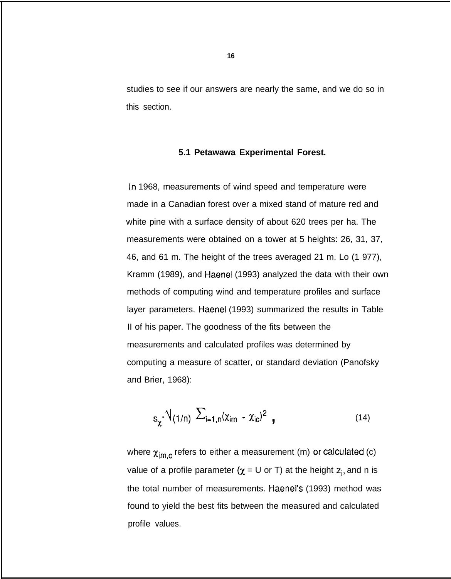studies to see if our answers are nearly the same, and we do so in this section.

### **5.1 Petawawa Experimental Forest.**

In 1968, measurements of wind speed and temperature were made in a Canadian forest over a mixed stand of mature red and white pine with a surface density of about 620 trees per ha. The measurements were obtained on a tower at 5 heights: 26, 31, 37, 46, and 61 m. The height of the trees averaged 21 m. Lo (1 977), Kramm (1989), and Haenel (1993) analyzed the data with their own methods of computing wind and temperature profiles and surface layer parameters. Haenel (1993) summarized the results in Table II of his paper. The goodness of the fits between the measurements and calculated profiles was determined by computing a measure of scatter, or standard deviation (Panofsky and Brier, 1968):

$$
s_{\chi}^{\text{-}}\sqrt{(1/n)}\sum_{i=1,n}^{n}(\chi_{im} - \chi_{ic})^{2}
$$
 (14)

where  $\chi_{\text{im.c}}$  refers to either a measurement (m) or calculated (c) value of a profile parameter ( $\chi = U$  or T) at the height  $z_i$ , and n is the total number of measurements. Haenel's (1993) method was found to yield the best fits between the measured and calculated profile values.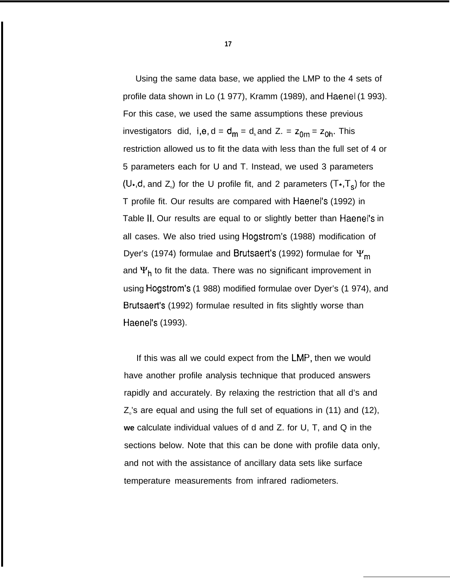Using the same data base, we applied the LMP to the 4 sets of profile data shown in Lo (1 977), Kramm (1989), and Haenel (1 993). For this case, we used the same assumptions these previous investigators did, i,e, d =  $d_m = d_h$  and Z. =  $z_{0m} = z_{0h}$ . This restriction allowed us to fit the data with less than the full set of 4 or 5 parameters each for U and T. Instead, we used 3 parameters (U<sub>\*</sub>,d, and Z<sub>o</sub>) for the U profile fit, and 2 parameters (T<sub>\*</sub>,T<sub>s</sub>) for the T profile fit. Our results are compared with Haenel's (1992) in Table 11, Our results are equal to or slightly better than Haenel's in all cases. We also tried using Hogstrom's (1988) modification of Dyer's (1974) formulae and Brutsaert's (1992) formulae for  $\Psi_{\mathbf{m}}$ and  $\Psi_h$  to fit the data. There was no significant improvement in using Hogstrom's (1 988) modified formulae over Dyer's (1 974), and Brutsaert's (1992) formulae resulted in fits slightly worse than Haenel's (1993).

If this was all we could expect from the LMP, then we would have another profile analysis technique that produced answers rapidly and accurately. By relaxing the restriction that all d's and  $Z_{\circ}$ 's are equal and using the full set of equations in (11) and (12), **we** calculate individual values of d and Z. for U, T, and Q in the sections below. Note that this can be done with profile data only, and not with the assistance of ancillary data sets like surface temperature measurements from infrared radiometers.

**17**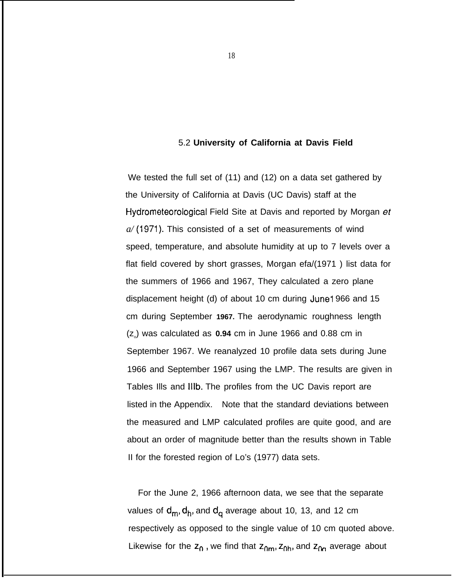#### 5.2 **University of California at Davis Field**

We tested the full set of (11) and (12) on a data set gathered by the University of California at Davis (UC Davis) staff at the Hydrometeorological Field Site at Davis and reported by Morgan et *a/* (1971). This consisted of a set of measurements of wind speed, temperature, and absolute humidity at up to 7 levels over a flat field covered by short grasses, Morgan efa/(1971 ) list data for the summers of 1966 and 1967, They calculated a zero plane displacement height (d) of about 10 cm during June 1966 and 15 cm during September **1967.** The aerodynamic roughness length (z<sub>o</sub>) was calculated as 0.94 cm in June 1966 and 0.88 cm in September 1967. We reanalyzed 10 profile data sets during June 1966 and September 1967 using the LMP. The results are given in Tables Ills and lllb. The profiles from the UC Davis report are listed in the Appendix. Note that the standard deviations between the measured and LMP calculated profiles are quite good, and are about an order of magnitude better than the results shown in Table II for the forested region of Lo's (1977) data sets.

For the June 2, 1966 afternoon data, we see that the separate values of  $d_m, d_h$ , and  $d_q$  average about 10, 13, and 12 cm respectively as opposed to the single value of 10 cm quoted above. Likewise for the  $z_0$ , we find that  $z_{0m}$ ,  $z_{0h}$ , and  $z_{0n}$  average about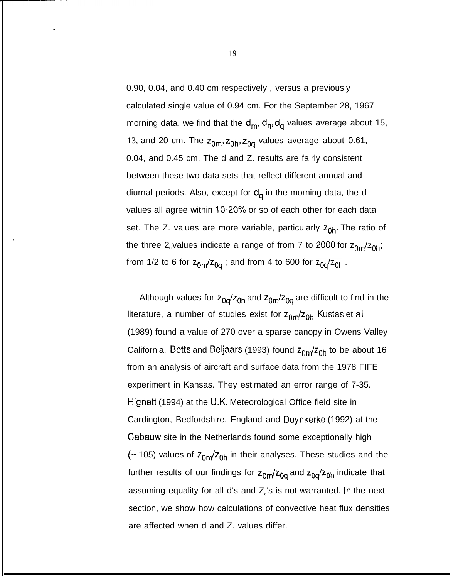0.90, 0.04, and 0.40 cm respectively , versus a previously calculated single value of 0.94 cm. For the September 28, 1967 morning data, we find that the  $d_m$ ,  $d_h$ ,  $d_q$  values average about 15, 13, and 20 cm. The  $z_{0m}$ ,  $z_{0h}$ ,  $z_{0g}$  values average about 0.61, 0.04, and 0.45 cm. The d and Z. results are fairly consistent between these two data sets that reflect different annual and diurnal periods. Also, except for  $d<sub>a</sub>$  in the morning data, the d values all agree within 10-20% or so of each other for each data set. The Z. values are more variable, particularly  $z_{0h}$ . The ratio of the three  $2_{\circ}$  values indicate a range of from 7 to 2000 for  $z_{0m}/z_{0h}$ ; from 1/2 to 6 for  $z_{0m}/z_{0q}$ ; and from 4 to 600 for  $z_{0q}/z_{0h}$ .

Although values for  $z_{0q}/z_{0h}$  and  $z_{0m}/z_{0q}$  are difficult to find in the literature, a number of studies exist for  $z_{0m}/z_{0h}$ . Kustas et al (1989) found a value of 270 over a sparse canopy in Owens Valley California. Betts and Beljaars (1993) found  $z_{0m}/z_{0h}$  to be about 16 from an analysis of aircraft and surface data from the 1978 FIFE experiment in Kansas. They estimated an error range of 7-35. Hignett (1994) at the U.K. Meteorological Office field site in Cardington, Bedfordshire, England and Duynkerke (1992) at the Cabauw site in the Netherlands found some exceptionally high ( $\sim$  105) values of  $z_{0m}/z_{0h}$  in their analyses. These studies and the further results of our findings for  $z_{0m}/z_{0q}$  and  $z_{0q}/z_{0h}$  indicate that assuming equality for all d's and  $Z_{\text{o}}$ 's is not warranted. In the next section, we show how calculations of convective heat flux densities are affected when d and Z. values differ.

\*

 $\epsilon$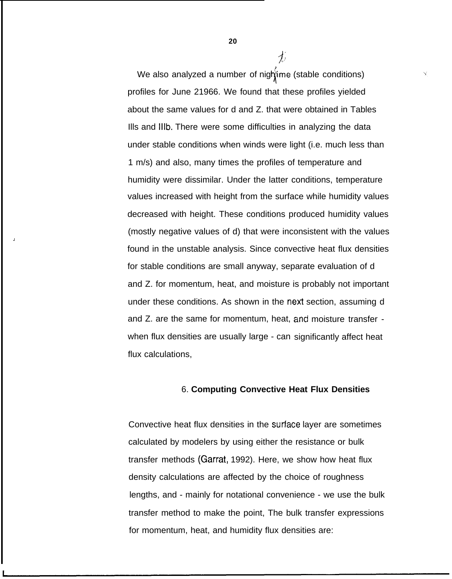We also analyzed a number of nightime (stable conditions) .<br>\ profiles for June 21966. We found that these profiles yielded about the same values for d and Z. that were obtained in Tables Ills and Illb. There were some difficulties in analyzing the data under stable conditions when winds were light (i.e. much less than 1 m/s) and also, many times the profiles of temperature and humidity were dissimilar. Under the latter conditions, temperature values increased with height from the surface while humidity values decreased with height. These conditions produced humidity values (mostly negative values of d) that were inconsistent with the values found in the unstable analysis. Since convective heat flux densities for stable conditions are small anyway, separate evaluation of d and Z. for momentum, heat, and moisture is probably not important under these conditions. As shown in the next section, assuming d and Z. are the same for momentum, heat, and moisture transfer when flux densities are usually large - can significantly affect heat flux calculations,

>

## 6. **Computing Convective Heat Flux Densities**

Convective heat flux densities in the surface layer are sometimes calculated by modelers by using either the resistance or bulk transfer methods (Garrat, 1992). Here, we show how heat flux density calculations are affected by the choice of roughness lengths, and - mainly for notational convenience - we use the bulk transfer method to make the point, The bulk transfer expressions for momentum, heat, and humidity flux densities are:

**20**

 $\frac{1}{\sqrt{2}}$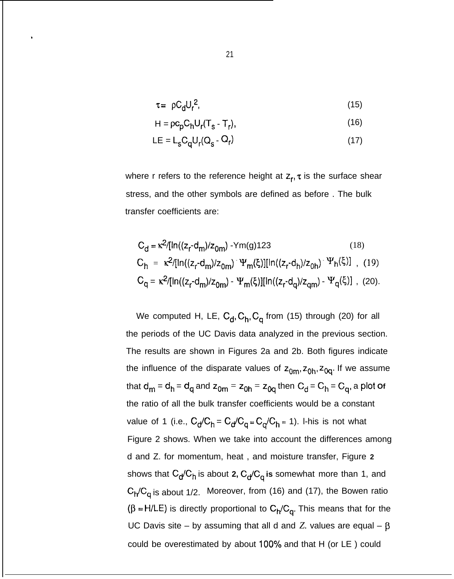$$
\tau = \rho C_d U_r^2,\tag{15}
$$

$$
H = \rho c_p C_h U_r (T_s - T_r), \qquad (16)
$$

$$
LE = L_s C_q U_r (Q_s - Q_r)
$$
 (17)

where r refers to the reference height at  $z_r$ ,  $\tau$  is the surface shear stress, and the other symbols are defined as before . The bulk transfer coefficients are:

$$
C_{d} = \kappa^{2}/[ln((z_{r} \cdot d_{m})/z_{0m}) - Ym(g)123
$$
(18)  
\n
$$
C_{h} = \kappa^{2}/[ln((z_{r} \cdot d_{m})/z_{0m}) - \Psi_{m}(\xi)][ln((z_{r} \cdot d_{h})/z_{0h}) - \Psi_{h}(\xi)] , (19)
$$
  
\n
$$
C_{q} = \kappa^{2}/[ln((z_{r} \cdot d_{m})/z_{0m}) - \Psi_{m}(\xi)][ln((z_{r} \cdot d_{q})/z_{qm}) - \Psi_{q}(\xi)] , (20).
$$

We computed H, LE,  $C_d$ ,  $C_h$ ,  $C_q$  from (15) through (20) for all the periods of the UC Davis data analyzed in the previous section. The results are shown in Figures 2a and 2b. Both figures indicate the influence of the disparate values of  $z_{0m}$ ,  $z_{0n}$ ,  $z_{0q}$ . If we assume that  $d_m = d_h = d_q$  and  $z_{0m} = z_{0h} = z_{0q}$  then  $C_d = C_h = C_q$ , a plot of the ratio of all the bulk transfer coefficients would be a constant value of 1 (i.e.,  $C_d/C_h = C_d/C_q = C_d/C_h = 1$ ). I-his is not what Figure 2 shows. When we take into account the differences among d and Z. for momentum, heat , and moisture transfer, Figure **2** shows that C<sub>d</sub>/C<sub>h</sub> is about 2, C<sub>d</sub>/C<sub>q</sub> is somewhat more than 1, and  $C_H/C_q$  is about 1/2. Moreover, from (16) and (17), the Bowen ratio  $(\beta = H/LE)$  is directly proportional to  $C_H/C_{q}$ . This means that for the UC Davis site – by assuming that all d and *Z*. values are equal –  $\beta$ could be overestimated by about 100% and that H (or LE) could

.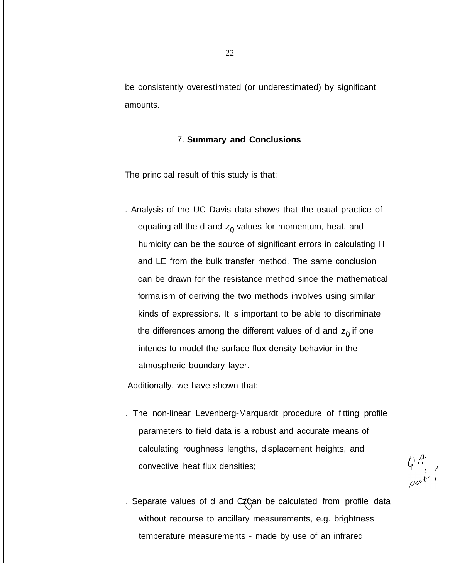be consistently overestimated (or underestimated) by significant amounts.

## 7. **Summary and Conclusions**

The principal result of this study is that:

. Analysis of the UC Davis data shows that the usual practice of equating all the d and  $z_0$  values for momentum, heat, and humidity can be the source of significant errors in calculating H and LE from the bulk transfer method. The same conclusion can be drawn for the resistance method since the mathematical formalism of deriving the two methods involves using similar kinds of expressions. It is important to be able to discriminate the differences among the different values of d and  $z_0$  if one intends to model the surface flux density behavior in the atmospheric boundary layer.

Additionally, we have shown that:

. The non-linear Levenberg-Marquardt procedure of fitting profile parameters to field data is a robust and accurate means of calculating roughness lengths, displacement heights, and convective heat flux densities;  $\left\langle \right\rangle A^{\dagger}$ 

 $\left\{\begin{matrix} \varphi A^{\dagger} \\ \varphi A^{\dagger} \end{matrix}\right\}$ 

. Separate values of d and  $CZC$ an be calculated from profile data without recourse to ancillary measurements, e.g. brightness temperature measurements - made by use of an infrared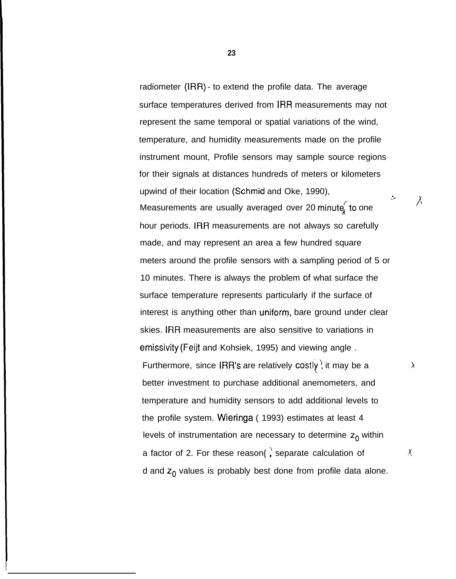radiometer (IRR) - to extend the profile data. The average surface temperatures derived from IRR measurements may not represent the same temporal or spatial variations of the wind, temperature, and humidity measurements made on the profile instrument mount, Profile sensors may sample source regions for their signals at distances hundreds of meters or kilometers upwind of their location (Schmid and Oke, 1990), .',  $h$  Measurements are usually averaged over 20 minute to one  $\lambda$ hour periods. IRR measurements are not always so carefully made, and may represent an area a few hundred square meters around the profile sensors with a sampling period of 5 or 10 minutes. There is always the problem of what surface the surface temperature represents particularly if the surface of interest is anything other than uniform, bare ground under clear skies. IRR measurements are also sensitive to variations in emissivity (Feijt and Kohsiek, 1995) and viewing angle . Furthermore, since IRR's are relatively costly, it may be a better investment to purchase additional anemometers, and temperature and humidity sensors to add additional levels to the profile system. Wiennga ( 1993) estimates at least 4 levels of instrumentation are necessary to determine  $z_0$  within a factor of 2. For these reason{, separate calculation of  $\lambda$ d and  $z_0$  values is probably best done from profile data alone.

 $\lambda$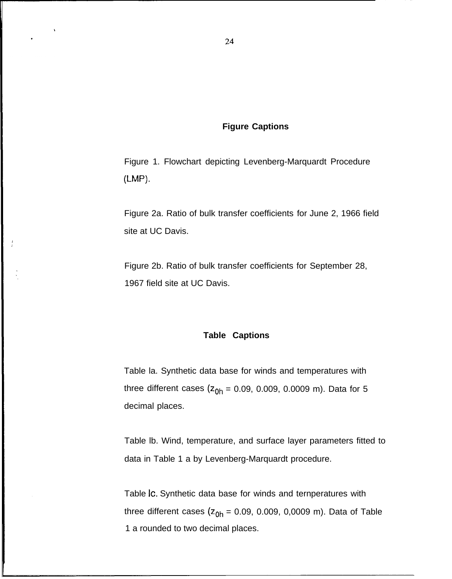## **Figure Captions**

Figure 1. Flowchart depicting Levenberg-Marquardt Procedure (LMP).

Figure 2a. Ratio of bulk transfer coefficients for June 2, 1966 field site at UC Davis.

Figure 2b. Ratio of bulk transfer coefficients for September 28, 1967 field site at UC Davis.

## **Table Captions**

Table la. Synthetic data base for winds and temperatures with three different cases ( $z_{0h}$  = 0.09, 0.009, 0.0009 m). Data for 5 decimal places.

Table lb. Wind, temperature, and surface layer parameters fitted to data in Table 1 a by Levenberg-Marquardt procedure.

Table Ic. Synthetic data base for winds and ternperatures with three different cases  $(z_{0h} = 0.09, 0.009, 0.0009$  m). Data of Table 1 a rounded to two decimal places.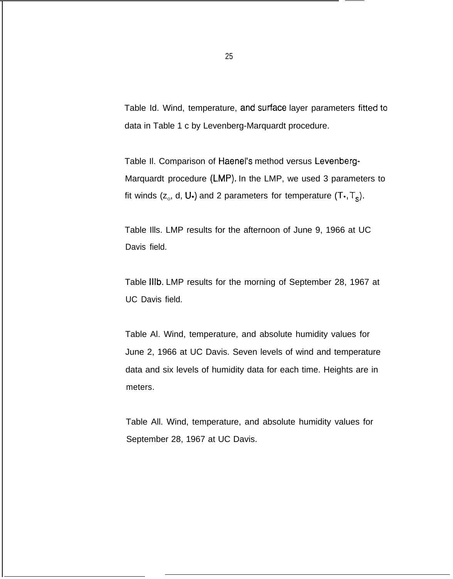Table Id. Wind, temperature, and surface layer parameters fitted to data in Table 1 c by Levenberg-Marquardt procedure.

Table Il. Comparison of Haenel's method versus Levenberg-Marquardt procedure (LMP). In the LMP, we used 3 parameters to fit winds (z $_{\circ}$ , d, U $\boldsymbol{\cdot}$ ) and 2 parameters for temperature (T $\boldsymbol{\cdot}$ , T $_{\rm s}$ ).

Table Ills. LMP results for the afternoon of June 9, 1966 at UC Davis field.

Table Illb. LMP results for the morning of September 28, 1967 at UC Davis field.

Table Al. Wind, temperature, and absolute humidity values for June 2, 1966 at UC Davis. Seven levels of wind and temperature data and six levels of humidity data for each time. Heights are in meters.

Table All. Wind, temperature, and absolute humidity values for September 28, 1967 at UC Davis.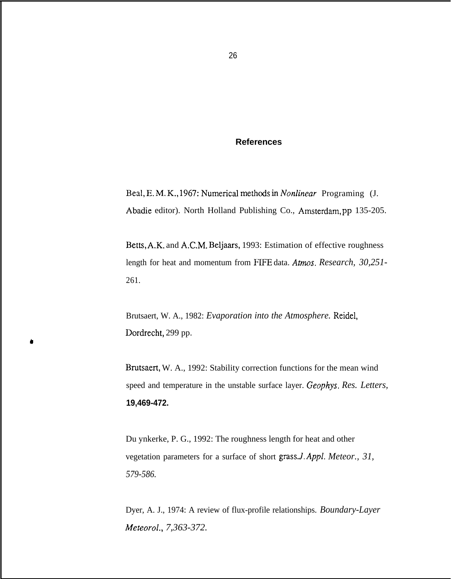## **References**

Beal, E. M. K., 1967: Numerical methods in *Nonlinear* Programing (J. Abadie editor). North Holland Publishing Co., Amsterdam, pp 135-205.

Betts, A.K. and A.C.M. Beljaars, 1993: Estimation of effective roughness length for heat and momentum from FIFE data. *Amos. Research, 30,251-* 261.

Brutsaert, W. A., 1982: *Evaporation into the Atmosphere.* Reidel, Dordrecht, 299 pp.

A

Brutsaert, W. A., 1992: Stability correction functions for the mean wind speed and temperature in the unstable surface layer. *Geophys, Res. Letters,* **19,469-472.**

Du ynkerke, P. G., 1992: The roughness length for heat and other vegetation parameters for a surface of short grass.*J. Appl. Meteor., 31, 579-586.*

Dyer, A. J., 1974: A review of flux-profile relationships. *Boundary-Layer Meteorol., 7,363-372.*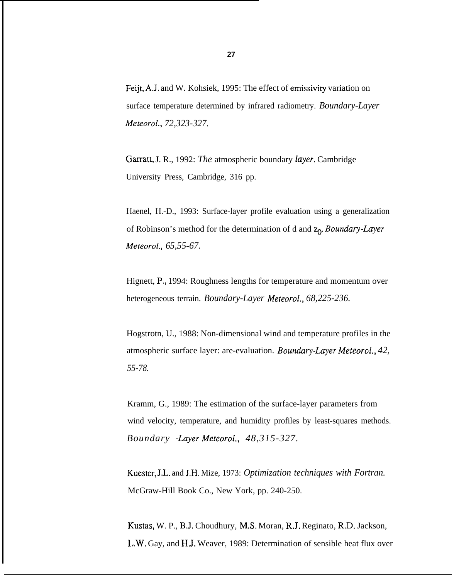Feijt, A.J, and W. Kohsiek, 1995: The effect of emissivity variation on surface temperature determined by infrared radiometry. *Boundary-Layer Meteorol., 72,323-327.*

Garratt, J. R., 1992: *The* atmospheric boundary *layer*. Cambridge University Press, Cambridge, 316 pp.

Haenel, H.-D., 1993: Surface-layer profile evaluation using a generalization of Robinson's method for the determination of d and  $z_0$ . *Boundary-Layer Meteorol., 65,55-67.*

Hignett, P., 1994: Roughness lengths for temperature and momentum over heterogeneous terrain. *Boundary-Layer Meteorol., 68,225-236.*

Hogstrotn, U., 1988: Non-dimensional wind and temperature profiles in the atmospheric surface layer: are-evaluation. *Boundary-Layer Meteorol.*, 42, *55-78.*

Kramm, G., 1989: The estimation of the surface-layer parameters from wind velocity, temperature, and humidity profiles by least-squares methods. *Boundary -Luyer Meteorol., 48,315-327.*

Kuester, J.L. and J.H. Mize, 1973: *Optimization techniques with Fortran.* McGraw-Hill Book Co., New York, pp. 240-250.

Kustas, W. P., B.J. Choudhury, M.S. Moran, R.J. Reginato, R.D. Jackson, L.W. Gay, and H.J. Weaver, 1989: Determination of sensible heat flux over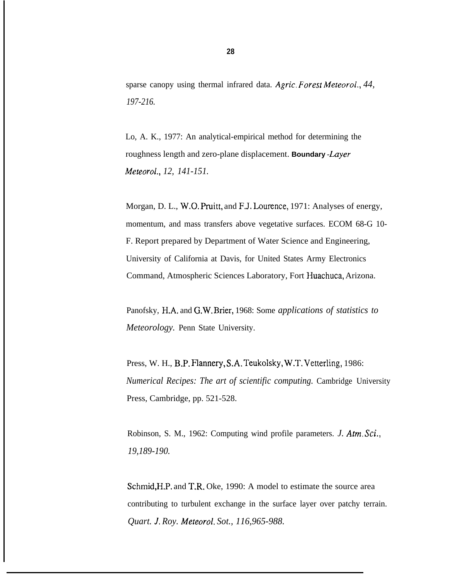sparse canopy using thermal infrared data. *Agric, Foresl Meteorol., 44, 197-216.*

Lo, A. K., 1977: An analytical-empirical method for determining the roughness length and zero-plane displacement. **Boundary** -Layer *Meteorol., 12, 141-151.*

Morgan, D. L., W.O. Pruitt, and F.J. Lourence, 1971: Analyses of energy, momentum, and mass transfers above vegetative surfaces. ECOM 68-G 10- F. Report prepared by Department of Water Science and Engineering, University of California at Davis, for United States Army Electronics Command, Atmospheric Sciences Laboratory, Fort Huachuca, Arizona.

Panofsky, H.A. and G.W. Brier, 1968: Some *applications of statistics to Meteorology.* Penn State University.

Press, W. H., B.P. Flannery, S.A. Teukolsky, W.T. Vetterling, 1986: *Numerical Recipes: The art of scientific computing.* Cambridge University Press, Cambridge, pp. 521-528.

Robinson, S. M., 1962: Computing wind profile parameters. *J. Atm, Sci., 19,189-190.*

Schmid, H.P. and T.R. Oke, 1990: A model to estimate the source area contributing to turbulent exchange in the surface layer over patchy terrain. *Quart. J, Roy. Meteorol. Sot., 116,965-988.*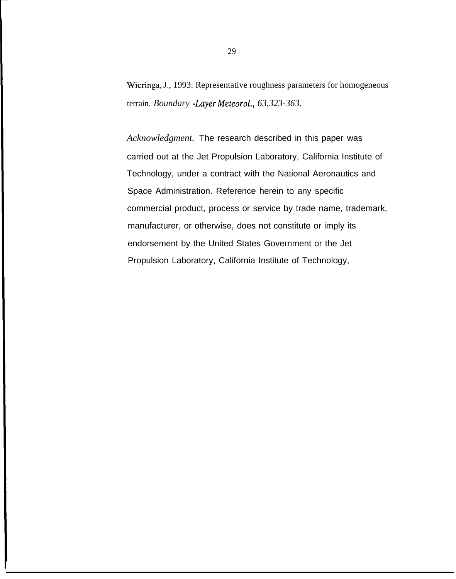Wieringa, J., 1993: Representative roughness parameters for homogeneous terrain. *Boundary -Layer Meteorol., 63,323-363.* 

*Acknowledgment.* The research described in this paper was carried out at the Jet Propulsion Laboratory, California Institute of Technology, under a contract with the National Aeronautics and Space Administration. Reference herein to any specific commercial product, process or service by trade name, trademark, manufacturer, or otherwise, does not constitute or imply its endorsement by the United States Government or the Jet Propulsion Laboratory, California Institute of Technology,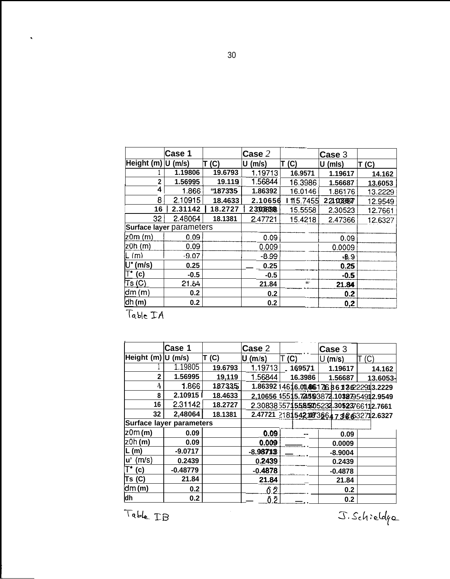|                                      | Case 1                   |         | Case 2     |           | Case 3     |         |
|--------------------------------------|--------------------------|---------|------------|-----------|------------|---------|
| Height (m)                           | (m/s)<br>، U             | T(G)    | (m/s)<br>U | T<br>(C)  | (mls)<br>U | T(G)    |
|                                      | 1.19806                  | 19.6793 | 1.19713    | 16.9571   | 1.19617    | 14.162  |
| $\overline{2}$                       | 1.56995                  | 19.119  | 1.56844    | 16.3986   | 1.56687    | 13.6053 |
| 4                                    | 1.866                    | "187335 | 1.86392    | 16.0146   | 1.86176    | 13.2229 |
| 8                                    | 2.10915                  | 18.4633 | 2.10656    | 1115.7455 | 2210038677 | 12.9549 |
| 16                                   | 2.31142                  | 18.2727 | 2300838    | 15.5558   | 2.30523    | 12.7661 |
| 32                                   | 2.48064                  | 18.1381 | 2.47721    | 15.4218   | 2.47366    | 12.6327 |
|                                      | Surface layer parameters |         |            |           |            |         |
| (m (m                                | 0.09                     |         | 0.09       |           | 0.09       |         |
| $z$ 0h $(m)$                         | 0.09                     |         | 0.009      |           | 0.0009     |         |
| L(m)                                 | $-9.07$                  |         | $-8.99$    |           | $-8.9$     |         |
| (m/s)<br>U*                          | 0.25                     |         | 0.25       |           | 0.25       |         |
| T.<br>(c)                            | $-0.5$                   |         | $-0.5$     |           | $-0.5$     |         |
| $\mathsf{Ts}\left(\mathsf{C}\right)$ | 21.84                    |         | 21.84      | $66 -$    | 21.84      |         |
| dm(m)                                | 0.2                      |         | 0.2        |           | 0.2        |         |
| $\mathsf{dh}\mathsf{(m)}$            | 0.2                      |         | 0.2        |           | 0,2        |         |

Table IA

.

|                           | Case 1                          |         | Case 2      |         | Case 3                                  |          |
|---------------------------|---------------------------------|---------|-------------|---------|-----------------------------------------|----------|
| Height (m) U              | (m/s)                           | T (C)   | (m/s)<br>IJ | (C)     | U (m/s)                                 |          |
|                           | 1.19805                         | 19.6793 | 1.19713     | 169571  | 1.19617                                 | 14.162   |
| $\mathbf{2}$              | 1.56995                         | 19,119  | 1.56844     | 16.3986 | 1.56687                                 | 13.6053- |
| Ą                         | 1.866                           | 187335  |             |         | 1.86392 14616.01.86617686136222913.2229 |          |
| 8                         | 2.109151                        | 18.4633 |             |         | 2,10656 15515.72553872.10327954912.9549 |          |
| 16                        | 2.31142                         | 18.2727 |             |         | 2.3083855715525205232.30523766112.7661  |          |
| 32                        | 2,48064                         | 18.1381 |             |         | 2.47721 2181542.11873664738632712.6327  |          |
|                           | <b>Surface layer parameters</b> |         |             |         |                                         |          |
| $z$ 0m $(m)$              | 0.09                            |         | 0.09        |         | 0.09                                    |          |
| 20h (m)                   | 0.09                            |         | 0.009       |         | 0.0009                                  |          |
| L(m)                      | $-9.0717$                       |         | $-8.98713$  |         | $-8.9004$                               |          |
| u' (m/s)                  | 0.2439                          |         | 0.2439      |         | 0.2439                                  |          |
| $\mathsf{T}^\star$<br>(c) | $-0.48779$                      |         | $-0.4878$   |         | $-0.4878$                               |          |
| Ts (C)                    | 21.84                           |         | 21.84       |         | 21.84                                   |          |
| dm(m)                     | 0.2                             |         | Ô.2         |         | 0.2                                     |          |
| dh                        | 0.2                             |         | Ô.2.        |         | 0.2                                     |          |

 $x.sch:$ eldge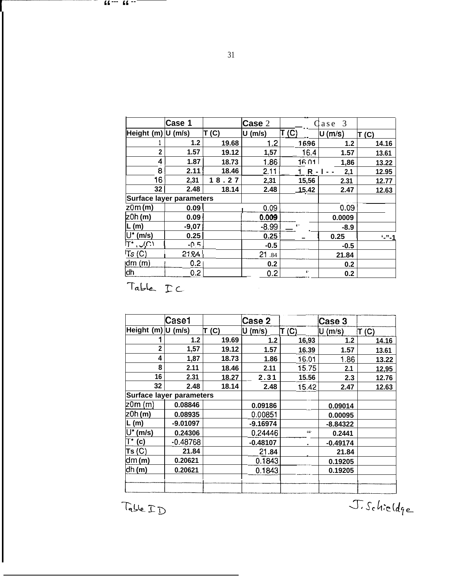|                           | Case 1                          |       |           |                          |          |                                                 |  |  |
|---------------------------|---------------------------------|-------|-----------|--------------------------|----------|-------------------------------------------------|--|--|
|                           |                                 |       | Case 2    |                          | 3<br>ase |                                                 |  |  |
| Height (m)                | $U$ (m/s)                       | T(C)  | $U$ (m/s) | T(G)                     | U(m/s)   | T(G)                                            |  |  |
|                           | 1.2                             | 19.68 | 1.2       | 1696                     | 1.2      | 14.16                                           |  |  |
| $\overline{\mathbf{2}}$   | 1.57                            | 19.12 | 1,57      | 16.4                     | 1.57     | 13.61                                           |  |  |
| 4                         | 1.87                            | 18.73 | 1.86      | 16.01                    | 1,86     | 13.22                                           |  |  |
| 8                         | 2.11                            | 18.46 | 2.11      | $1 R - 1 - -$            | 2,1      | 12.95                                           |  |  |
| 16                        | 2,31                            | 18.27 | 2,31      | 15,56                    | 2.31     | 12.77                                           |  |  |
| 32                        | 2.48                            | 18.14 | 2.48      | 15.42                    | 2.47     | 12.63                                           |  |  |
|                           | <b>Surface layer parameters</b> |       |           |                          |          |                                                 |  |  |
| $z$ 0m $(m)$              | 0.09                            |       | 0.09      |                          | 0.09     |                                                 |  |  |
| 20h(m)                    | 0.09                            |       | 0.009     |                          | 0.0009   |                                                 |  |  |
| L(m)                      | $-9,07$                         |       | $-8.99$   | $\overline{\phantom{a}}$ | $-8.9$   |                                                 |  |  |
| $U^*$ (m/s)               | 0.25                            |       | 0.25      |                          | 0.25     | $^{\prime}$ $^{\prime\prime}$ $^{\prime\prime}$ |  |  |
| $\cup$ $\cup$<br>די -     | $-0.5$                          |       | $-0.5$    |                          | $-0.5$   |                                                 |  |  |
| $\mathsf{TS}(\mathsf{C})$ | 21.84                           |       | 21.84     |                          | 21.84    |                                                 |  |  |
| dm(m)                     | 0.2 <sub>1</sub>                |       | 0.2       |                          | 0.2      |                                                 |  |  |
| dh                        | 0.2 <sub>0</sub>                |       | 0.2       | $\mathbf{f}$ -           | 0.2      |                                                 |  |  |
| Table IC                  |                                 |       |           |                          |          |                                                 |  |  |
|                           | Case1                           |       | Case 2    |                          | Case 3   |                                                 |  |  |
| Height (m)                | $U$ (m/s)                       | T (C) | U(m/s)    | T(G)                     | U(m/s)   | T (C)                                           |  |  |
|                           | 1.2                             | 19.69 | 1.2       | 16,93                    | 1.2      | 14.16                                           |  |  |
| $\overline{2}$            | 1,57                            | 19.12 | 1.57      | 16.39                    | 1.57     | 13.61                                           |  |  |
| 4                         | 1,87                            | 18.73 | 1.86      | 16.01                    | 1.86     | 13.22                                           |  |  |
|                           |                                 |       |           |                          |          |                                                 |  |  |

~- **"--- "**

**--**

|                                      | Case1      |       | Case 2     |         | Case 3     |                 |
|--------------------------------------|------------|-------|------------|---------|------------|-----------------|
| Height (m) U                         | (m/s)      | T(G)  | $U$ (m/s)  | T(G)    | U (m/s)    | $\mathsf T$ (C) |
|                                      | 1.2        | 19.69 | $1.2$      | 16,93   | 1.2        | 14.16           |
| $\mathbf{2}$                         | 1,57       | 19.12 | 1.57       | 16.39   | 1.57       | 13.61           |
| 4                                    | 1,87       | 18.73 | 1.86       | 16.01   | 1.86       | 13.22           |
| 8                                    | 2.11       | 18.46 | 2.11       | 15.75   | 2.1        | 12,95           |
| 16                                   | 2.31       | 18.27 | 2.31       | 15.56   | 2.3        | 12.76           |
| 32                                   | 2.48       | 18.14 | 2.48       | 15.42   | 2.47       | 12.63           |
| <b>Surface layer parameters</b>      |            |       |            |         |            |                 |
| z0m (m)                              | 0.08846    |       | 0.09186    |         | 0.09014    |                 |
| z0h(m)                               | 0.08935    |       | 0.00851    |         | 0.00095    |                 |
| ∣L (m)                               | $-9.01097$ |       | $-9.16974$ |         | $-8.84322$ |                 |
| (m/s)                                | 0.24306    |       | 0.24446    | $111 -$ | 0.2441     |                 |
| (c)                                  | $-0.48768$ |       | $-0.48107$ |         | $-0.49174$ |                 |
| $\mathsf{TS}\left(\mathsf{C}\right)$ | 21.84      |       | 21.84      |         | 21.84      |                 |
| dm (m)                               | 0.20621    |       | 0.1843     |         | 0.19205    |                 |
| dh(m)                                | 0.20621    |       | 0.1843     |         | 0.19205    |                 |
|                                      |            |       |            |         |            |                 |
|                                      |            |       |            |         |            |                 |

Table I D

J. Schieldqe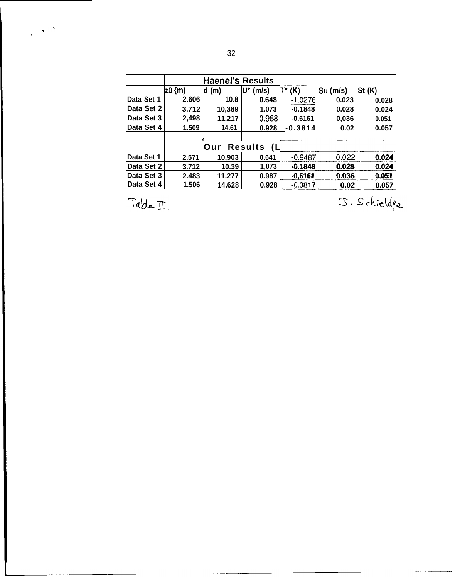|            |        | <b>Haenel's Results</b> |                        |           |            |              |
|------------|--------|-------------------------|------------------------|-----------|------------|--------------|
|            | 20 {m) | (m)<br>d                | U*<br>(m/s)            | $T^*(K)$  | $Su$ (m/s) | St(K)        |
| Data Set 1 | 2.606  | 10.8                    | 0.648                  | $-1.0276$ | 0.023      | 0.028        |
| Data Set 2 | 3.712  | 10,389                  | 1.073                  | $-0.1848$ | 0.028      | 0.024        |
| Data Set 3 | 2,498  | 11.217                  | 0.988                  | $-0.6161$ | 0,036      | 0.051        |
| Data Set 4 | 1.509  | 14.61                   | 0.928                  | $-0.3814$ | 0.02       | 0.057        |
|            |        |                         |                        |           |            |              |
|            |        | <b>Our</b>              | <b>Results</b><br>- (L |           |            |              |
| Data Set 1 | 2.571  | 10,903                  | 0.641                  | $-0.9487$ | 0.022      | 0.024        |
| Data Set 2 | 3.712  | 10.39                   | 1,073                  | $-0.1848$ | 0.028      | 0.024        |
| Data Set 3 | 2.483  | 11.277                  | 0.987                  | $-0,6161$ | 0.036      | 0.051        |
| Data Set 4 | 1.506  | 14.628                  | 0.928                  | $-0.3817$ | 0.02       | 0.057        |
| Table II   |        |                         |                        |           |            | J. Schieldqu |

**,' \**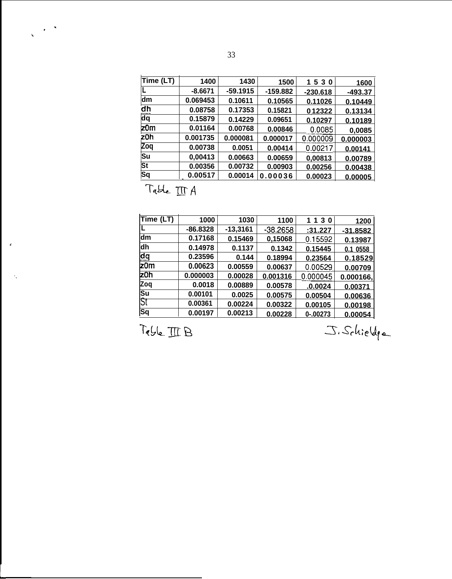| Time (LT)                                             |           |            |            |            |                |
|-------------------------------------------------------|-----------|------------|------------|------------|----------------|
|                                                       | 1400      | 1430       | 1500       | 1530       | 1600           |
|                                                       | $-8.6671$ | $-59.1915$ | $-159.882$ | $-230.618$ | <u>-493.37</u> |
| dm                                                    | 0.069453  | 0.10611    | 0.10565    | 0.11026    | 0.10449        |
| $\frac{\mathrm{d} \mathsf{h}}{\mathrm{d} \mathsf{q}}$ | 0.08758   | 0.17353    | 0.15821    | 0.12322    | 0.13134        |
|                                                       | 0.15879   | 0.14229    | 0.09651    | 0.10297    | 0.10189        |
| z0m                                                   | 0.01164   | 0.00768    | 0.00846    | 0.0085     | 0,0085         |
| z0h                                                   | 0.001735  | 0.000081   | 0.000017   | 0.000009   | 0.000003       |
| Zoq                                                   | 0.00738   | 0.0051     | 0.00414    | 0.00217    | 0.00141        |
| Su                                                    | 0,00413   | 0.00663    | 0.00659    | 0,00813    | 0.00789        |
| St                                                    | 0.00356   | 0.00732    | 0.00903    | 0.00256    | 0.00438        |
| <b>Sq</b>                                             | 0.00517   | 0.00014    | 0.00036    | 0.00023    | 0.00005        |

 $\overline{\phantom{a}}$ 

 $\sim$   $^{\circ}$ 

 $\hat{\mathbf{v}}$ 

. .

| Time (LT)<br>dm         | 1000<br>$-86.8328$ | 1030<br>$-13,3161$ | 1100       | 1130     | 1200       |
|-------------------------|--------------------|--------------------|------------|----------|------------|
|                         |                    |                    |            |          |            |
|                         |                    |                    | $-38.2658$ | :31.227  | $-31.8582$ |
|                         | 0.17168            | 0.15469            | 0,15068    | 0.15592  | 0.13987    |
| dh                      | 0.14978            | 0.1137             | 0.1342     | 0.15445  | 0.1 0558   |
| $\overline{\mathtt{q}}$ | 0.23596            | 0.144              | 0.18994    | 0.23564  | 0.18529    |
| $z$ 0m                  | 0.00623            | 0.00559            | 0.00637    | 0.00529  | 0.00709    |
| z0h                     | 0.000003           | 0.00028            | 0.001316   | 0.000045 | 0.000166,  |
| Zoq                     | 0.0018             | 0.00889            | 0.00578    | .0.0024  | 0.00371    |
| Su<br>St                | 0.00101            | 0.0025             | 0.00575    | 0.00504  | 0.00636    |
|                         | 0.00361            | 0.00224            | 0.00322    | 0.00105  | 0.00198    |
| Sq                      | 0.00197            | 0.00213            | 0.00228    | 0-.00273 | 0.00054    |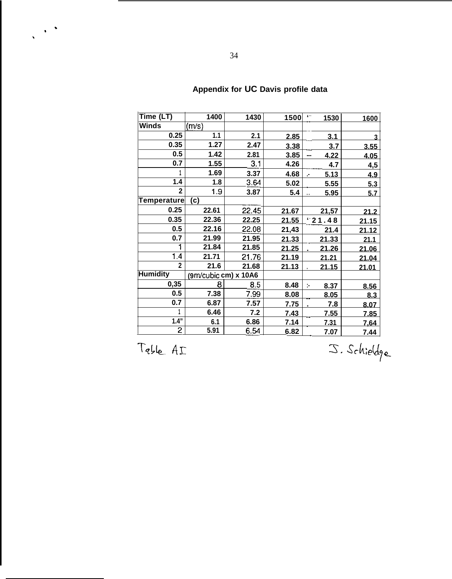| Time (LT)       | 1400                 | 1430  | 1500  | $\cdots$<br>1530             | 1600  |
|-----------------|----------------------|-------|-------|------------------------------|-------|
| Winds           | (m/s)                |       |       |                              |       |
| 0.25            | 1.1                  | 2.1   | 2.85  | 3.1                          | 3     |
| 0.35            | 1.27                 | 2.47  | 3.38  | 3.7                          | 3.55  |
| 0.5             | 1.42                 | 2.81  | 3.85  | 4.22<br>---                  | 4.05  |
| 0.7             | 1.55                 | 3.1   | 4.26  | 4.7                          | 4,5   |
|                 | 1.69                 | 3.37  | 4.68  | 5.13<br>J.                   | 4.9   |
| 1.4             | 1.8                  | 3.64  | 5.02  | 5.55                         | 5.3   |
| $\overline{2}$  | 1.9                  | 3.87  | 5.4   | 5.95<br>$\ddot{\phantom{1}}$ | 5.7   |
| Temperature     | (c)                  |       |       |                              |       |
| 0.25            | 22.61                | 22.45 | 21.67 | 21,57                        | 21.2  |
| 0.35            | 22.36                | 22.25 | 21.55 | 121.48                       | 21.15 |
| 0.5             | 22.16                | 22.08 | 21,43 | 21.4                         | 21.12 |
| 0.7             | 21.99                | 21.95 | 21.33 | 21.33                        | 21.1  |
| 1               | 21.84                | 21.85 | 21.25 | 21.26                        | 21.06 |
| 1.4             | 21.71                | 21.76 | 21.19 | 21.21                        | 21.04 |
| $\overline{2}$  | 21.6                 | 21.68 | 21.13 | 21.15                        | 21.01 |
| <b>Humidity</b> | (9m/cubic cm) x 10A6 |       |       |                              |       |
| 0,35            | 8                    | 8.5   | 8.48  | 8.37<br>þ.                   | 8.56  |
| 0.5             | 7.38                 | 7.99  | 8.08  | 8.05                         | 8.3   |
| 0.7             | 6.87                 | 7.57  | 7.75  | 7.8                          | 8.07  |
|                 | 6.46                 | 7.2   | 7.43  | 7.55                         | 7.85  |
| 1.4"            | 6.1                  | 6.86  | 7.14  | 7.31                         | 7.64  |
| 2               | 5.91                 | 6.54  | 6.82  | 7.07                         | 7.44  |

# **Appendix for UC Davis profile data**

Table AI

 $\frac{1}{\sqrt{2}}$  ,  $\frac{1}{\sqrt{2}}$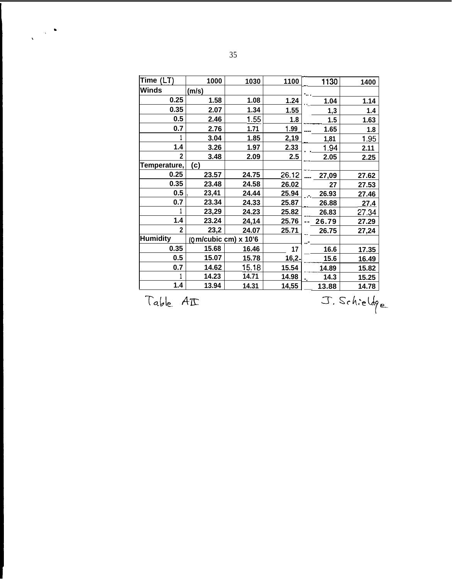| Time (LT)       | 1000                   | 1030  | 1100         | 1130  | 1400  |
|-----------------|------------------------|-------|--------------|-------|-------|
| Winds           | (m/s)                  |       |              |       |       |
| 0.25            | 1.58                   | 1.08  | 1.24         | 1.04  | 1.14  |
| 0.35            | 2.07                   | 1.34  | 1.55         | 1,3   | 1.4   |
| 0.5             | 2.46                   | 1.55  | 1.8          | 1.5   | 1.63  |
| 0.7             | 2.76                   | 1.71  | <u>1.99</u>  | 1.65  | 1.8   |
|                 | 3.04                   | 1.85  | 2,19         | 1,81  | 1.95  |
| 1.4             | 3.26                   | 1.97  | 2.33         | 1.94  | 2.11  |
| $\mathbf{2}$    | 3.48                   | 2.09  | 2.5          | 2.05  | 2.25  |
| Temperature,    | (c)                    |       |              |       |       |
| 0.25            | 23.57                  | 24.75 | 26.12        | 27,09 | 27.62 |
| 0.35            | 23.48                  | 24.58 | 26.02        | 27    | 27.53 |
| 0.5             | 23,41                  | 24.44 | 25.94        | 26.93 | 27.46 |
| 0.7             | 23.34                  | 24.33 | 25.87        | 26.88 | 27.4  |
|                 | 23,29                  | 24.23 | 25.82        | 26.83 | 27.34 |
| 1.4             | 23.24                  | 24,14 | 25.76        | 26.79 | 27.29 |
| $\mathbf{2}$    | 23,2                   | 24.07 | 25.71        | 26.75 | 27,24 |
| <b>Humidity</b> | $(Qm/cubic cm)$ x 10'6 |       |              |       |       |
| 0.35            | 15.68                  | 16.46 | 17           | 16.6  | 17.35 |
| 0.5             | 15.07                  | 15.78 | <u>16,2.</u> | 15.6  | 16.49 |
| 0.7             | 14.62                  | 15.18 | 15.54        | 14.89 | 15.82 |
|                 | 14.23                  | 14.71 | 14.98        | 14.3  | 15.25 |
| 1.4             | 13.94                  | 14.31 | <u>14,55</u> | 13.88 | 14.78 |

 $Table AT$ 

 $\frac{1}{\sqrt{2}}\left(\frac{1}{\sqrt{2}}\right)^{\frac{1}{2}}\frac{\partial}{\partial\theta}$ 

**\_\_ 13.88 14.78**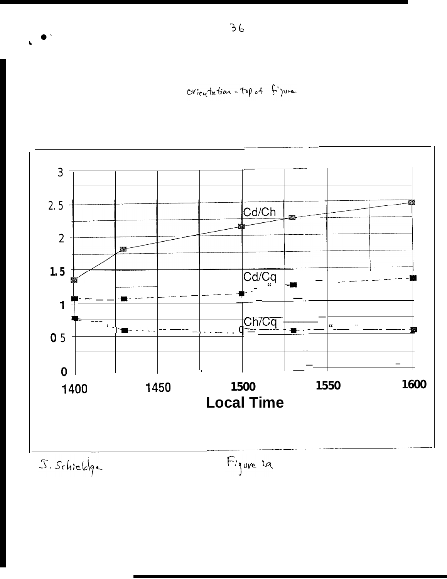Orioutation-top of figure



J. Schieloge

Figure 29

 $36$